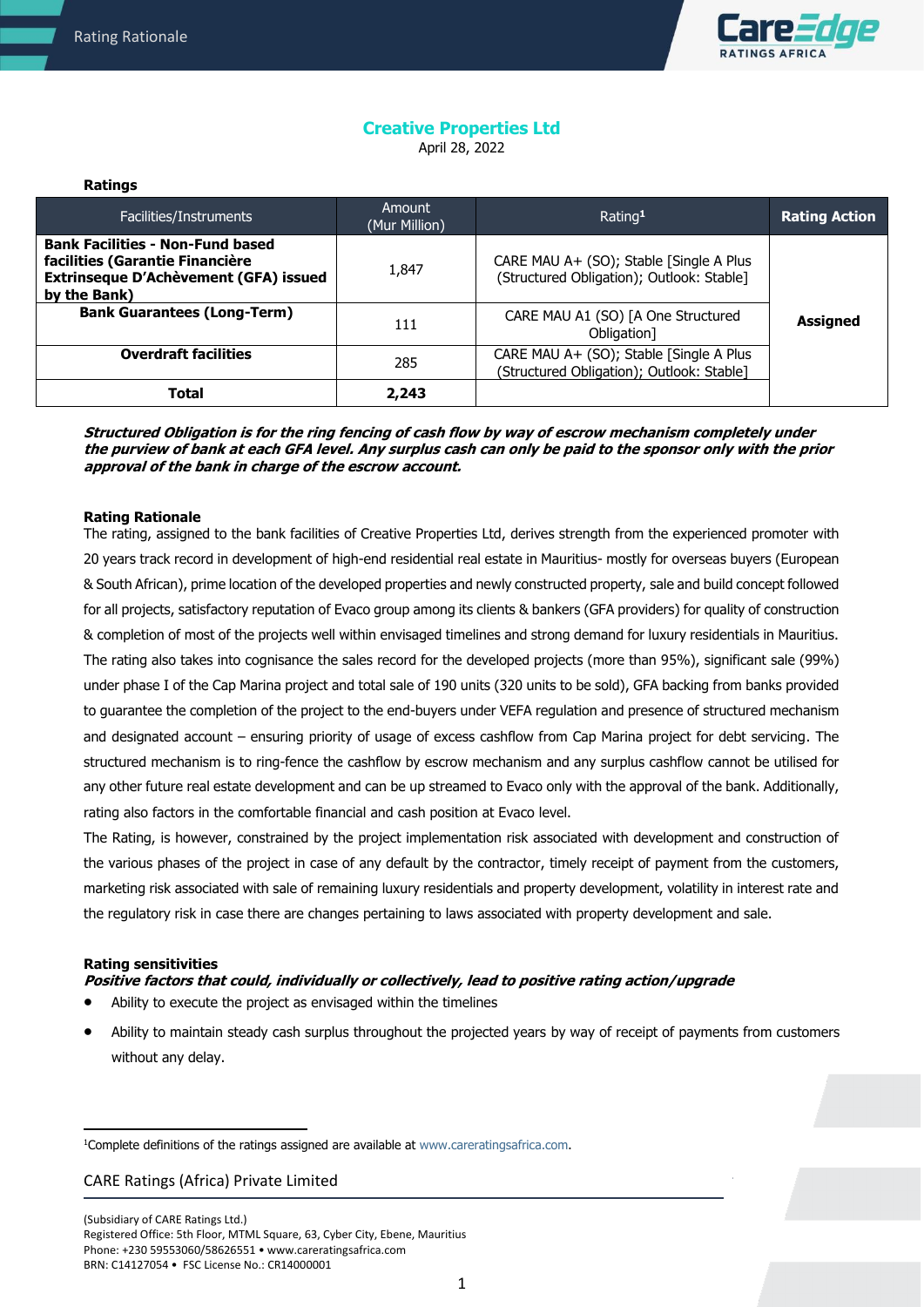**Ratings**



## **Creative Properties Ltd**  April 28, 2022

| .                                                                                                                                   |                         |                                                                                      |                      |
|-------------------------------------------------------------------------------------------------------------------------------------|-------------------------|--------------------------------------------------------------------------------------|----------------------|
| Facilities/Instruments                                                                                                              | Amount<br>(Mur Million) | Rating <sup>1</sup>                                                                  | <b>Rating Action</b> |
| <b>Bank Facilities - Non-Fund based</b><br>facilities (Garantie Financière<br>Extrinseque D'Achèvement (GFA) issued<br>by the Bank) | 1,847                   | CARE MAU A+ (SO); Stable [Single A Plus<br>(Structured Obligation); Outlook: Stable] |                      |
| <b>Bank Guarantees (Long-Term)</b>                                                                                                  | 111                     | CARE MAU A1 (SO) [A One Structured<br>Obligation]                                    | <b>Assigned</b>      |
| <b>Overdraft facilities</b>                                                                                                         | 285                     | CARE MAU A+ (SO); Stable [Single A Plus<br>(Structured Obligation); Outlook: Stable] |                      |
| Total                                                                                                                               | 2,243                   |                                                                                      |                      |

**Structured Obligation is for the ring fencing of cash flow by way of escrow mechanism completely under the purview of bank at each GFA level. Any surplus cash can only be paid to the sponsor only with the prior approval of the bank in charge of the escrow account.** 

#### **Rating Rationale**

The rating, assigned to the bank facilities of Creative Properties Ltd, derives strength from the experienced promoter with 20 years track record in development of high-end residential real estate in Mauritius- mostly for overseas buyers (European & South African), prime location of the developed properties and newly constructed property, sale and build concept followed for all projects, satisfactory reputation of Evaco group among its clients & bankers (GFA providers) for quality of construction & completion of most of the projects well within envisaged timelines and strong demand for luxury residentials in Mauritius. The rating also takes into cognisance the sales record for the developed projects (more than 95%), significant sale (99%) under phase I of the Cap Marina project and total sale of 190 units (320 units to be sold), GFA backing from banks provided to guarantee the completion of the project to the end-buyers under VEFA regulation and presence of structured mechanism and designated account – ensuring priority of usage of excess cashflow from Cap Marina project for debt servicing. The structured mechanism is to ring-fence the cashflow by escrow mechanism and any surplus cashflow cannot be utilised for any other future real estate development and can be up streamed to Evaco only with the approval of the bank. Additionally, rating also factors in the comfortable financial and cash position at Evaco level.

The Rating, is however, constrained by the project implementation risk associated with development and construction of the various phases of the project in case of any default by the contractor, timely receipt of payment from the customers, marketing risk associated with sale of remaining luxury residentials and property development, volatility in interest rate and the regulatory risk in case there are changes pertaining to laws associated with property development and sale.

#### **Rating sensitivities**

- **Positive factors that could, individually or collectively, lead to positive rating action/upgrade**
- Ability to execute the project as envisaged within the timelines
- Ability to maintain steady cash surplus throughout the projected years by way of receipt of payments from customers without any delay.

<sup>&</sup>lt;sup>1</sup>Complete definitions of the ratings assigned are available at www.careratingsafrica.com.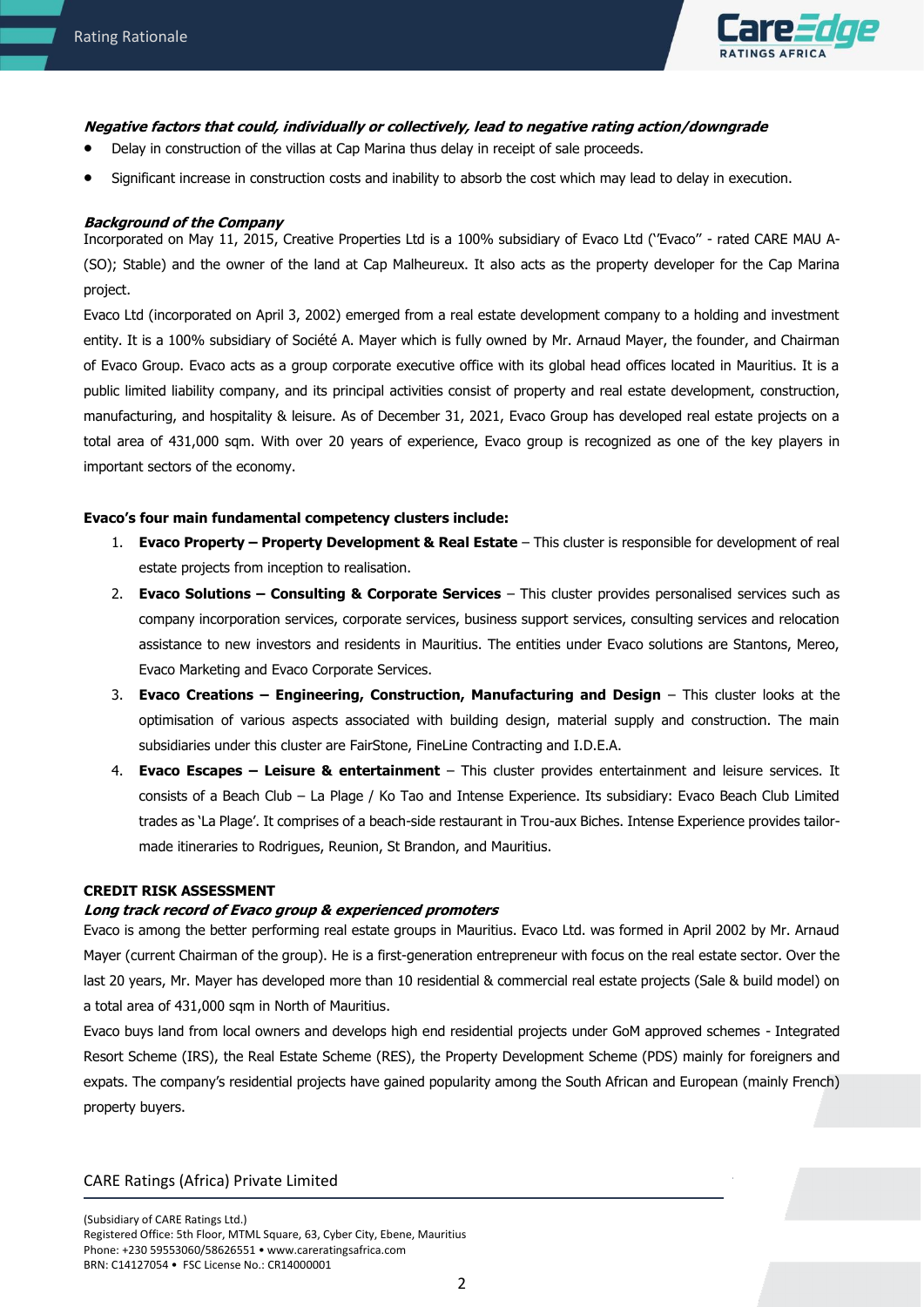

# **Negative factors that could, individually or collectively, lead to negative rating action/downgrade**

- Delay in construction of the villas at Cap Marina thus delay in receipt of sale proceeds.
- Significant increase in construction costs and inability to absorb the cost which may lead to delay in execution.

### **Background of the Company**

Incorporated on May 11, 2015, Creative Properties Ltd is a 100% subsidiary of Evaco Ltd (''Evaco'' - rated CARE MAU A- (SO); Stable) and the owner of the land at Cap Malheureux. It also acts as the property developer for the Cap Marina project.

Evaco Ltd (incorporated on April 3, 2002) emerged from a real estate development company to a holding and investment entity. It is a 100% subsidiary of Société A. Mayer which is fully owned by Mr. Arnaud Mayer, the founder, and Chairman of Evaco Group. Evaco acts as a group corporate executive office with its global head offices located in Mauritius. It is a public limited liability company, and its principal activities consist of property and real estate development, construction, manufacturing, and hospitality & leisure. As of December 31, 2021, Evaco Group has developed real estate projects on a total area of 431,000 sqm. With over 20 years of experience, Evaco group is recognized as one of the key players in important sectors of the economy.

### **Evaco's four main fundamental competency clusters include:**

- 1. **Evaco Property – Property Development & Real Estate** This cluster is responsible for development of real estate projects from inception to realisation.
- 2. **Evaco Solutions – Consulting & Corporate Services** This cluster provides personalised services such as company incorporation services, corporate services, business support services, consulting services and relocation assistance to new investors and residents in Mauritius. The entities under Evaco solutions are Stantons, Mereo, Evaco Marketing and Evaco Corporate Services.
- 3. **Evaco Creations – Engineering, Construction, Manufacturing and Design** This cluster looks at the optimisation of various aspects associated with building design, material supply and construction. The main subsidiaries under this cluster are FairStone, FineLine Contracting and I.D.E.A.
- 4. **Evaco Escapes – Leisure & entertainment** This cluster provides entertainment and leisure services. It consists of a Beach Club – La Plage / Ko Tao and Intense Experience. Its subsidiary: Evaco Beach Club Limited trades as 'La Plage'. It comprises of a beach-side restaurant in Trou-aux Biches. Intense Experience provides tailormade itineraries to Rodrigues, Reunion, St Brandon, and Mauritius.

### **CREDIT RISK ASSESSMENT**

## **Long track record of Evaco group & experienced promoters**

Evaco is among the better performing real estate groups in Mauritius. Evaco Ltd. was formed in April 2002 by Mr. Arnaud Mayer (current Chairman of the group). He is a first-generation entrepreneur with focus on the real estate sector. Over the last 20 years, Mr. Mayer has developed more than 10 residential & commercial real estate projects (Sale & build model) on a total area of 431,000 sqm in North of Mauritius.

Evaco buys land from local owners and develops high end residential projects under GoM approved schemes - Integrated Resort Scheme (IRS), the Real Estate Scheme (RES), the Property Development Scheme (PDS) mainly for foreigners and expats. The company's residential projects have gained popularity among the South African and European (mainly French) property buyers.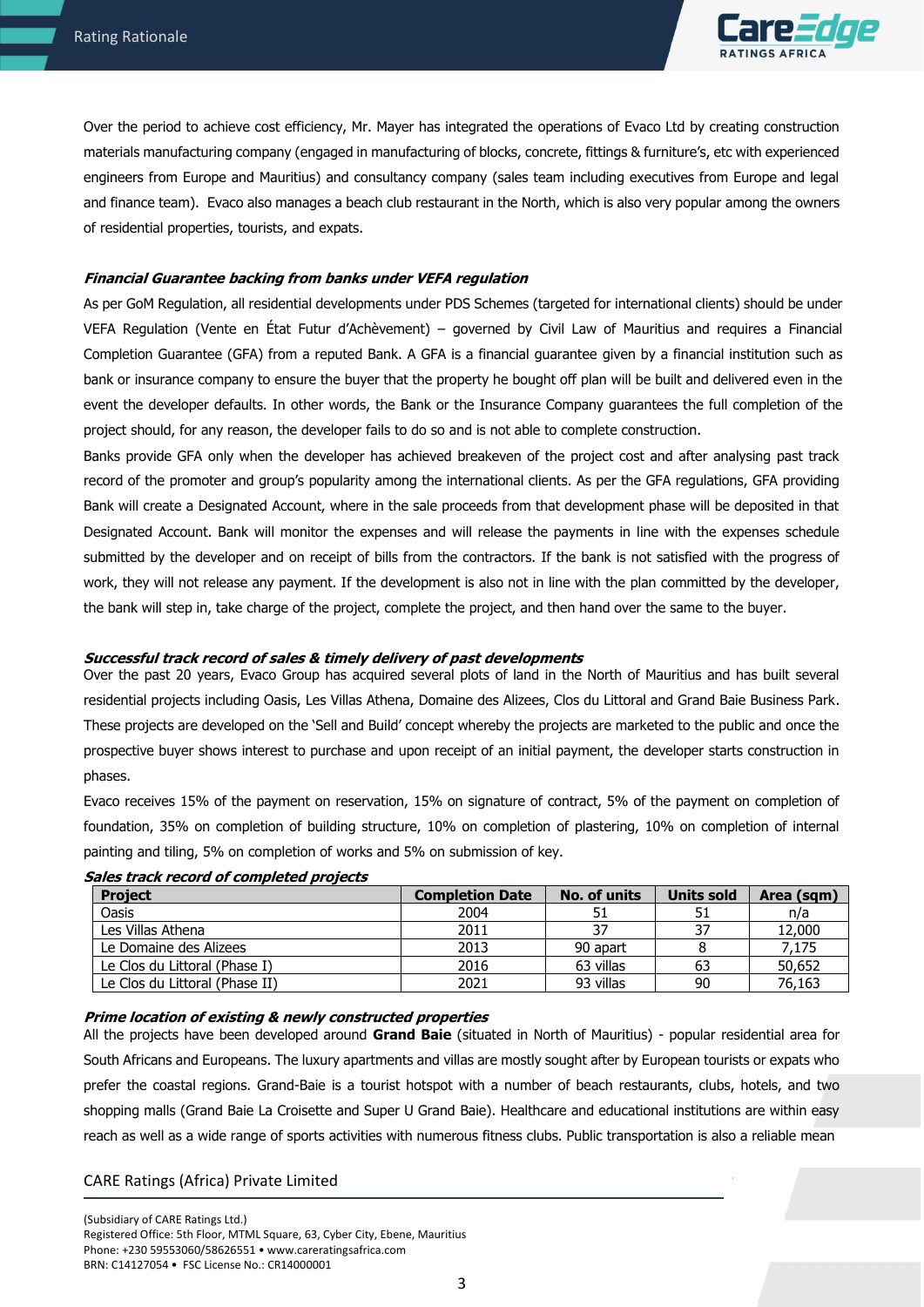

Over the period to achieve cost efficiency, Mr. Mayer has integrated the operations of Evaco Ltd by creating construction materials manufacturing company (engaged in manufacturing of blocks, concrete, fittings & furniture's, etc with experienced engineers from Europe and Mauritius) and consultancy company (sales team including executives from Europe and legal and finance team). Evaco also manages a beach club restaurant in the North, which is also very popular among the owners of residential properties, tourists, and expats.

## **Financial Guarantee backing from banks under VEFA regulation**

As per GoM Regulation, all residential developments under PDS Schemes (targeted for international clients) should be under VEFA Regulation (Vente en État Futur d'Achèvement) – governed by Civil Law of Mauritius and requires a Financial Completion Guarantee (GFA) from a reputed Bank. A GFA is a financial guarantee given by a financial institution such as bank or insurance company to ensure the buyer that the property he bought off plan will be built and delivered even in the event the developer defaults. In other words, the Bank or the Insurance Company guarantees the full completion of the project should, for any reason, the developer fails to do so and is not able to complete construction.

Banks provide GFA only when the developer has achieved breakeven of the project cost and after analysing past track record of the promoter and group's popularity among the international clients. As per the GFA regulations, GFA providing Bank will create a Designated Account, where in the sale proceeds from that development phase will be deposited in that Designated Account. Bank will monitor the expenses and will release the payments in line with the expenses schedule submitted by the developer and on receipt of bills from the contractors. If the bank is not satisfied with the progress of work, they will not release any payment. If the development is also not in line with the plan committed by the developer, the bank will step in, take charge of the project, complete the project, and then hand over the same to the buyer.

#### **Successful track record of sales & timely delivery of past developments**

Over the past 20 years, Evaco Group has acquired several plots of land in the North of Mauritius and has built several residential projects including Oasis, Les Villas Athena, Domaine des Alizees, Clos du Littoral and Grand Baie Business Park. These projects are developed on the 'Sell and Build' concept whereby the projects are marketed to the public and once the prospective buyer shows interest to purchase and upon receipt of an initial payment, the developer starts construction in phases.

Evaco receives 15% of the payment on reservation, 15% on signature of contract, 5% of the payment on completion of foundation, 35% on completion of building structure, 10% on completion of plastering, 10% on completion of internal painting and tiling, 5% on completion of works and 5% on submission of key.

| <b>Project</b>                 | <b>Completion Date</b> | No. of units | Units sold | Area (sqm) |
|--------------------------------|------------------------|--------------|------------|------------|
| Oasis                          | 2004                   | 51           | 51         | n/a        |
| Les Villas Athena              | 2011                   | 37           | 37         | 12,000     |
| Le Domaine des Alizees         | 2013                   | 90 apart     |            | 7,175      |
| Le Clos du Littoral (Phase I)  | 2016                   | 63 villas    | 63         | 50,652     |
| Le Clos du Littoral (Phase II) | 2021                   | 93 villas    | 90         | 76,163     |

#### **Sales track record of completed projects**

## **Prime location of existing & newly constructed properties**

All the projects have been developed around **Grand Baie** (situated in North of Mauritius) - popular residential area for South Africans and Europeans. The luxury apartments and villas are mostly sought after by European tourists or expats who prefer the coastal regions. Grand-Baie is a tourist hotspot with a number of beach restaurants, clubs, hotels, and two shopping malls (Grand Baie La Croisette and Super U Grand Baie). Healthcare and educational institutions are within easy reach as well as a wide range of sports activities with numerous fitness clubs. Public transportation is also a reliable mean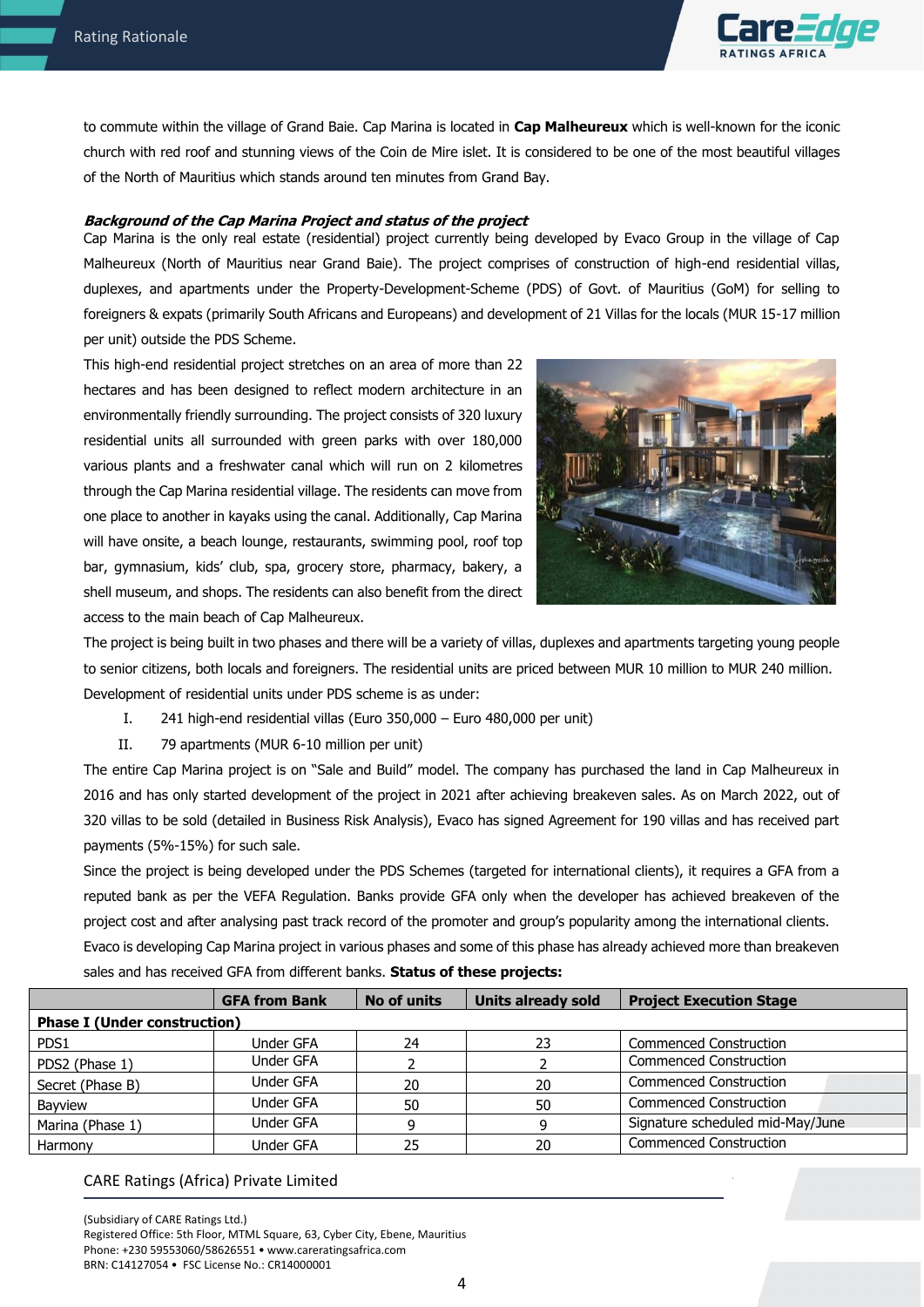

to commute within the village of Grand Baie. Cap Marina is located in **Cap Malheureux** which is well-known for the iconic church with red roof and stunning views of the Coin de Mire islet. It is considered to be one of the most beautiful villages of the North of Mauritius which stands around ten minutes from Grand Bay.

#### **Background of the Cap Marina Project and status of the project**

Cap Marina is the only real estate (residential) project currently being developed by Evaco Group in the village of Cap Malheureux (North of Mauritius near Grand Baie). The project comprises of construction of high-end residential villas, duplexes, and apartments under the Property-Development-Scheme (PDS) of Govt. of Mauritius (GoM) for selling to foreigners & expats (primarily South Africans and Europeans) and development of 21 Villas for the locals (MUR 15-17 million per unit) outside the PDS Scheme.

This high-end residential project stretches on an area of more than 22 hectares and has been designed to reflect modern architecture in an environmentally friendly surrounding. The project consists of 320 luxury residential units all surrounded with green parks with over 180,000 various plants and a freshwater canal which will run on 2 kilometres through the Cap Marina residential village. The residents can move from one place to another in kayaks using the canal. Additionally, Cap Marina will have onsite, a beach lounge, restaurants, swimming pool, roof top bar, gymnasium, kids' club, spa, grocery store, pharmacy, bakery, a shell museum, and shops. The residents can also benefit from the direct access to the main beach of Cap Malheureux.



The project is being built in two phases and there will be a variety of villas, duplexes and apartments targeting young people to senior citizens, both locals and foreigners. The residential units are priced between MUR 10 million to MUR 240 million. Development of residential units under PDS scheme is as under:

- I. 241 high-end residential villas (Euro 350,000 Euro 480,000 per unit)
- II. 79 apartments (MUR 6-10 million per unit)

The entire Cap Marina project is on "Sale and Build" model. The company has purchased the land in Cap Malheureux in 2016 and has only started development of the project in 2021 after achieving breakeven sales. As on March 2022, out of 320 villas to be sold (detailed in Business Risk Analysis), Evaco has signed Agreement for 190 villas and has received part payments (5%-15%) for such sale.

Since the project is being developed under the PDS Schemes (targeted for international clients), it requires a GFA from a reputed bank as per the VEFA Regulation. Banks provide GFA only when the developer has achieved breakeven of the project cost and after analysing past track record of the promoter and group's popularity among the international clients. Evaco is developing Cap Marina project in various phases and some of this phase has already achieved more than breakeven sales and has received GFA from different banks. **Status of these projects:**

|                                     | <b>GFA from Bank</b> | No of units | <b>Units already sold</b> | <b>Project Execution Stage</b>   |  |  |
|-------------------------------------|----------------------|-------------|---------------------------|----------------------------------|--|--|
| <b>Phase I (Under construction)</b> |                      |             |                           |                                  |  |  |
| PDS1                                | Under GFA            | 24          | 23                        | <b>Commenced Construction</b>    |  |  |
| PDS2 (Phase 1)                      | Under GFA            |             |                           | <b>Commenced Construction</b>    |  |  |
| Secret (Phase B)                    | Under GFA            | 20          | 20                        | <b>Commenced Construction</b>    |  |  |
| Bayview                             | Under GFA            | 50          | 50                        | <b>Commenced Construction</b>    |  |  |
| Marina (Phase 1)                    | Under GFA            | q           |                           | Signature scheduled mid-May/June |  |  |
| Harmony                             | <b>Under GFA</b>     | 25          | 20                        | <b>Commenced Construction</b>    |  |  |

## CARE Ratings (Africa) Private Limited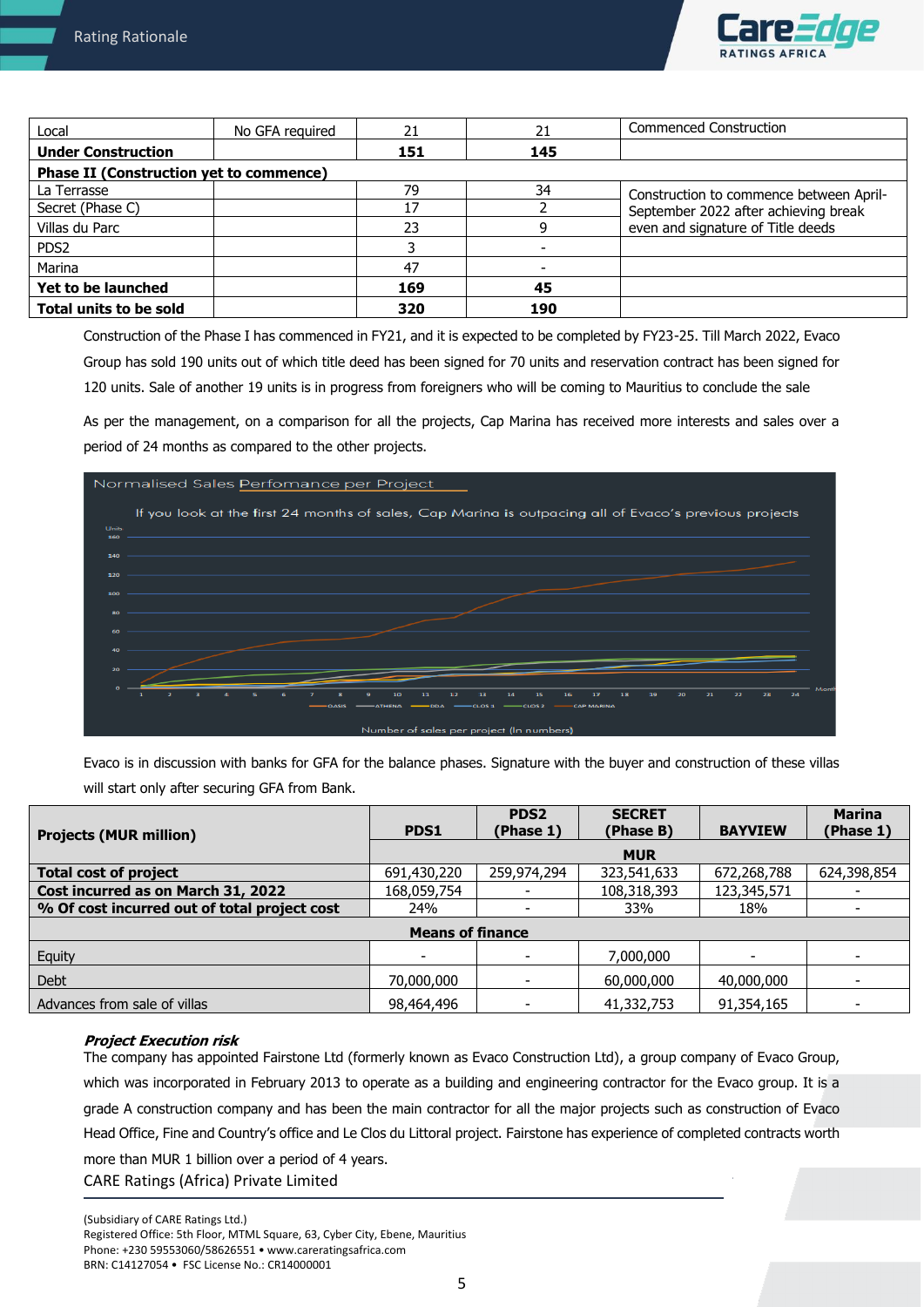

| Local                                          | No GFA required | 21  | 21  | <b>Commenced Construction</b>           |
|------------------------------------------------|-----------------|-----|-----|-----------------------------------------|
| <b>Under Construction</b>                      |                 | 151 | 145 |                                         |
| <b>Phase II (Construction yet to commence)</b> |                 |     |     |                                         |
| La Terrasse                                    |                 | 79  | 34  | Construction to commence between April- |
| Secret (Phase C)                               |                 | 17  |     | September 2022 after achieving break    |
| Villas du Parc                                 |                 | 23  |     | even and signature of Title deeds       |
| PDS <sub>2</sub>                               |                 |     |     |                                         |
| Marina                                         |                 | 47  |     |                                         |
| Yet to be launched                             |                 | 169 | 45  |                                         |
| <b>Total units to be sold</b>                  |                 | 320 | 190 |                                         |

Construction of the Phase I has commenced in FY21, and it is expected to be completed by FY23-25. Till March 2022, Evaco Group has sold 190 units out of which title deed has been signed for 70 units and reservation contract has been signed for 120 units. Sale of another 19 units is in progress from foreigners who will be coming to Mauritius to conclude the sale

As per the management, on a comparison for all the projects, Cap Marina has received more interests and sales over a period of 24 months as compared to the other projects.



Evaco is in discussion with banks for GFA for the balance phases. Signature with the buyer and construction of these villas will start only after securing GFA from Bank.

|                                              |             | PDS <sub>2</sub> | <b>SECRET</b> |                | <b>Marina</b>            |  |
|----------------------------------------------|-------------|------------------|---------------|----------------|--------------------------|--|
| <b>Projects (MUR million)</b>                | PDS1        | (Phase 1)        | (Phase B)     | <b>BAYVIEW</b> | (Phase 1)                |  |
|                                              | <b>MUR</b>  |                  |               |                |                          |  |
| <b>Total cost of project</b>                 | 691,430,220 | 259,974,294      | 323,541,633   | 672,268,788    | 624,398,854              |  |
| Cost incurred as on March 31, 2022           | 168,059,754 |                  | 108,318,393   | 123,345,571    |                          |  |
| % Of cost incurred out of total project cost | 24%         |                  | 33%           | 18%            |                          |  |
| <b>Means of finance</b>                      |             |                  |               |                |                          |  |
| Equity                                       |             |                  | 7,000,000     |                |                          |  |
| Debt                                         | 70,000,000  | -                | 60,000,000    | 40,000,000     | $\overline{\phantom{0}}$ |  |
| Advances from sale of villas                 | 98,464,496  | ٠                | 41,332,753    | 91,354,165     |                          |  |

## **Project Execution risk**

CARE Ratings (Africa) Private Limited The company has appointed Fairstone Ltd (formerly known as Evaco Construction Ltd), a group company of Evaco Group, which was incorporated in February 2013 to operate as a building and engineering contractor for the Evaco group. It is a grade A construction company and has been the main contractor for all the major projects such as construction of Evaco Head Office, Fine and Country's office and Le Clos du Littoral project. Fairstone has experience of completed contracts worth more than MUR 1 billion over a period of 4 years.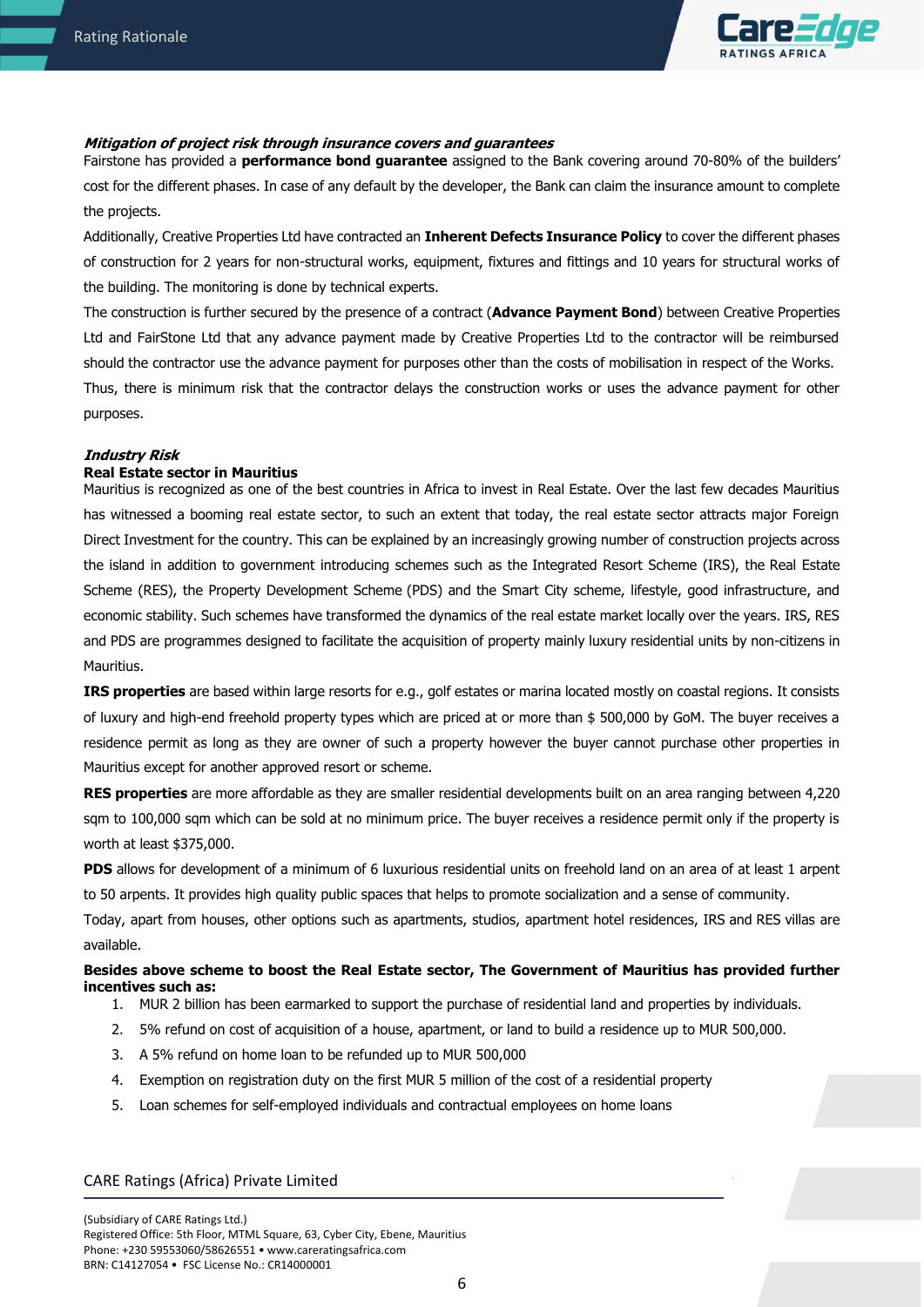

# **Mitigation of project risk through insurance covers and guarantees**

Fairstone has provided a **performance bond guarantee** assigned to the Bank covering around 70-80% of the builders' cost for the different phases. In case of any default by the developer, the Bank can claim the insurance amount to complete the projects.

Additionally, Creative Properties Ltd have contracted an **Inherent Defects Insurance Policy** to cover the different phases of construction for 2 years for non-structural works, equipment, fixtures and fittings and 10 years for structural works of the building. The monitoring is done by technical experts.

The construction is further secured by the presence of a contract (**Advance Payment Bond**) between Creative Properties Ltd and FairStone Ltd that any advance payment made by Creative Properties Ltd to the contractor will be reimbursed should the contractor use the advance payment for purposes other than the costs of mobilisation in respect of the Works. Thus, there is minimum risk that the contractor delays the construction works or uses the advance payment for other

#### **Industry Risk**

purposes.

### **Real Estate sector in Mauritius**

Mauritius is recognized as one of the best countries in Africa to invest in Real Estate. Over the last few decades Mauritius has witnessed a booming real estate sector, to such an extent that today, the real estate sector attracts major Foreign Direct Investment for the country. This can be explained by an increasingly growing number of construction projects across the island in addition to government introducing schemes such as the Integrated Resort Scheme (IRS), the Real Estate Scheme (RES), the Property Development Scheme (PDS) and the Smart City scheme, lifestyle, good infrastructure, and economic stability. Such schemes have transformed the dynamics of the real estate market locally over the years. IRS, RES and PDS are programmes designed to facilitate the acquisition of property mainly luxury residential units by non-citizens in Mauritius.

**IRS properties** are based within large resorts for e.g., golf estates or marina located mostly on coastal regions. It consists of luxury and high-end freehold property types which are priced at or more than \$ 500,000 by GoM. The buyer receives a residence permit as long as they are owner of such a property however the buyer cannot purchase other properties in Mauritius except for another approved resort or scheme.

**RES properties** are more affordable as they are smaller residential developments built on an area ranging between 4,220 sqm to 100,000 sqm which can be sold at no minimum price. The buyer receives a residence permit only if the property is worth at least \$375,000.

**PDS** allows for development of a minimum of 6 luxurious residential units on freehold land on an area of at least 1 arpent to 50 arpents. It provides high quality public spaces that helps to promote socialization and a sense of community.

Today, apart from houses, other options such as apartments, studios, apartment hotel residences, [IRS](https://www.lexpressproperty.com/en/news-advice/invest/our-files/buying-an-irs-unit/) and [RES](https://www.lexpressproperty.com/en/news-advice/invest/our-files/buying-an-res/) villas are available.

## **Besides above scheme to boost the Real Estate sector, The Government of Mauritius has provided further incentives such as:**

- 1. MUR 2 billion has been earmarked to support the purchase of residential land and properties by individuals.
- 2. 5% refund on cost of acquisition of a house, apartment, or land to build a residence up to MUR 500,000.
- 3. A 5% refund on home loan to be refunded up to MUR 500,000
- 4. Exemption on registration duty on the first MUR 5 million of the cost of a residential property
- 5. Loan schemes for self-employed individuals and contractual employees on home loans

#### CARE Ratings (Africa) Private Limited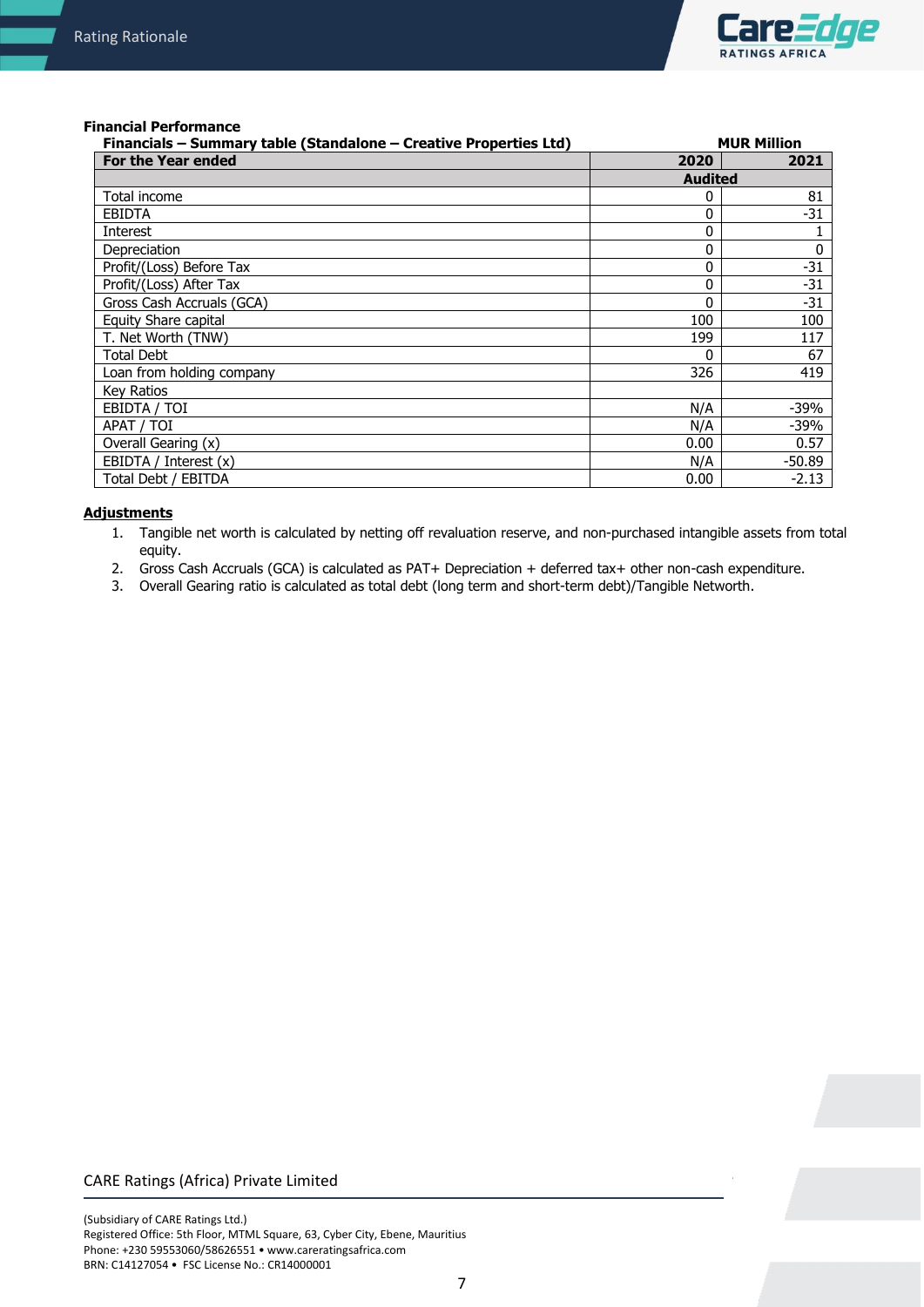

#### **Financial Performance**

| Financials - Summary table (Standalone - Creative Properties Ltd) |                | <b>MUR Million</b> |
|-------------------------------------------------------------------|----------------|--------------------|
| <b>For the Year ended</b>                                         | 2020           | 2021               |
|                                                                   | <b>Audited</b> |                    |
| Total income                                                      | 0              | 81                 |
| <b>EBIDTA</b>                                                     | 0              | $-31$              |
| Interest                                                          | 0              |                    |
| Depreciation                                                      | $\mathbf{0}$   | 0                  |
| Profit/(Loss) Before Tax                                          | 0              | $-31$              |
| Profit/(Loss) After Tax                                           | 0              | $-31$              |
| Gross Cash Accruals (GCA)                                         | 0              | $-31$              |
| Equity Share capital                                              | 100            | 100                |
| T. Net Worth (TNW)                                                | 199            | 117                |
| <b>Total Debt</b>                                                 | 0              | 67                 |
| Loan from holding company                                         | 326            | 419                |
| Key Ratios                                                        |                |                    |
| EBIDTA / TOI                                                      | N/A            | -39%               |
| APAT / TOI                                                        | N/A            | -39%               |
| Overall Gearing (x)                                               | 0.00           | 0.57               |
| EBIDTA / Interest (x)                                             | N/A            | $-50.89$           |
| Total Debt / EBITDA                                               | 0.00           | $-2.13$            |

#### **Adjustments**

- 1. Tangible net worth is calculated by netting off revaluation reserve, and non-purchased intangible assets from total equity.
- 2. Gross Cash Accruals (GCA) is calculated as PAT+ Depreciation + deferred tax+ other non-cash expenditure.
- 3. Overall Gearing ratio is calculated as total debt (long term and short-term debt)/Tangible Networth.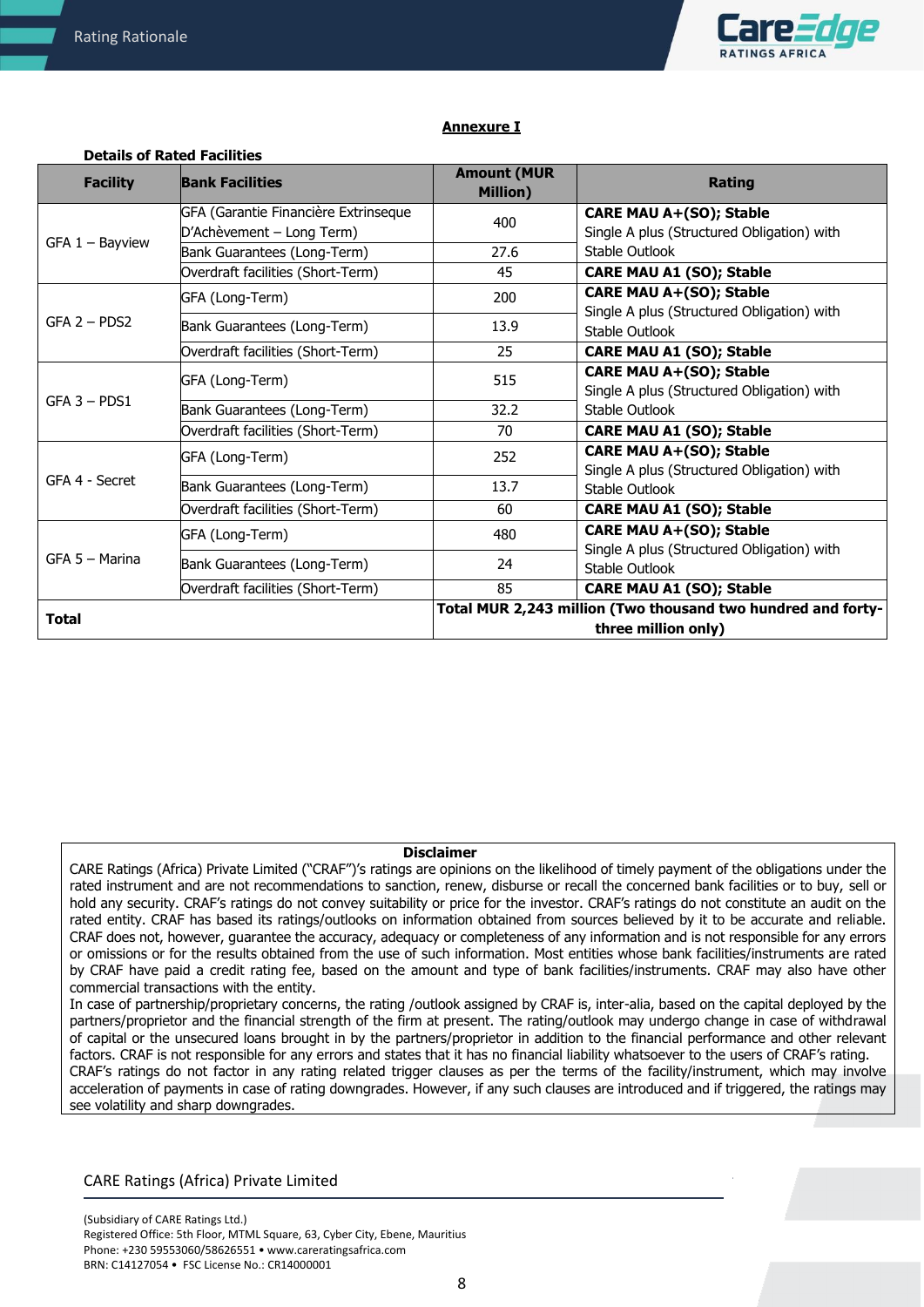**Details of Rated Facilities**



### **Annexure I**

| <b>Facility</b>   | <b>Bank Facilities</b>               | <b>Amount (MUR</b><br>Million) | <b>Rating</b>                                                                |
|-------------------|--------------------------------------|--------------------------------|------------------------------------------------------------------------------|
|                   | GFA (Garantie Financière Extrinseque | 400                            | <b>CARE MAU A+(SO); Stable</b>                                               |
| $GFA 1 - Bayview$ | D'Achèvement - Long Term)            |                                | Single A plus (Structured Obligation) with                                   |
|                   | Bank Guarantees (Long-Term)          | 27.6                           | Stable Outlook                                                               |
|                   | Overdraft facilities (Short-Term)    | 45                             | <b>CARE MAU A1 (SO); Stable</b>                                              |
|                   | GFA (Long-Term)                      | 200                            | CARE MAU A+(SO); Stable                                                      |
| $GFA$ 2 – PDS2    | Bank Guarantees (Long-Term)          | 13.9                           | Single A plus (Structured Obligation) with<br>Stable Outlook                 |
|                   | Overdraft facilities (Short-Term)    | 25                             | <b>CARE MAU A1 (SO); Stable</b>                                              |
|                   | GFA (Long-Term)                      | 515                            | <b>CARE MAU A+(SO); Stable</b>                                               |
| $GFA$ 3 - PDS1    |                                      |                                | Single A plus (Structured Obligation) with                                   |
|                   | Bank Guarantees (Long-Term)          | 32.2                           | Stable Outlook                                                               |
|                   | Overdraft facilities (Short-Term)    | 70                             | <b>CARE MAU A1 (SO); Stable</b>                                              |
| GFA 4 - Secret    | GFA (Long-Term)                      | 252                            | <b>CARE MAU A+(SO); Stable</b><br>Single A plus (Structured Obligation) with |
|                   | Bank Guarantees (Long-Term)          | 13.7                           | Stable Outlook                                                               |
|                   | Overdraft facilities (Short-Term)    | 60                             | CARE MAU A1 (SO); Stable                                                     |
| GFA 5 - Marina    | GFA (Long-Term)                      | 480                            | <b>CARE MAU A+(SO); Stable</b><br>Single A plus (Structured Obligation) with |
|                   | Bank Guarantees (Long-Term)          | 24                             | Stable Outlook                                                               |
|                   | Overdraft facilities (Short-Term)    | 85                             | <b>CARE MAU A1 (SO); Stable</b>                                              |
|                   |                                      |                                | Total MUR 2,243 million (Two thousand two hundred and forty-                 |
| <b>Total</b>      |                                      |                                | three million only)                                                          |

#### **Disclaimer**

CARE Ratings (Africa) Private Limited ("CRAF")'s ratings are opinions on the likelihood of timely payment of the obligations under the rated instrument and are not recommendations to sanction, renew, disburse or recall the concerned bank facilities or to buy, sell or hold any security. CRAF's ratings do not convey suitability or price for the investor. CRAF's ratings do not constitute an audit on the rated entity. CRAF has based its ratings/outlooks on information obtained from sources believed by it to be accurate and reliable. CRAF does not, however, guarantee the accuracy, adequacy or completeness of any information and is not responsible for any errors or omissions or for the results obtained from the use of such information. Most entities whose bank facilities/instruments are rated by CRAF have paid a credit rating fee, based on the amount and type of bank facilities/instruments. CRAF may also have other commercial transactions with the entity.

In case of partnership/proprietary concerns, the rating /outlook assigned by CRAF is, inter-alia, based on the capital deployed by the partners/proprietor and the financial strength of the firm at present. The rating/outlook may undergo change in case of withdrawal of capital or the unsecured loans brought in by the partners/proprietor in addition to the financial performance and other relevant factors. CRAF is not responsible for any errors and states that it has no financial liability whatsoever to the users of CRAF's rating. CRAF's ratings do not factor in any rating related trigger clauses as per the terms of the facility/instrument, which may involve acceleration of payments in case of rating downgrades. However, if any such clauses are introduced and if triggered, the ratings may see volatility and sharp downgrades.

# CARE Ratings (Africa) Private Limited